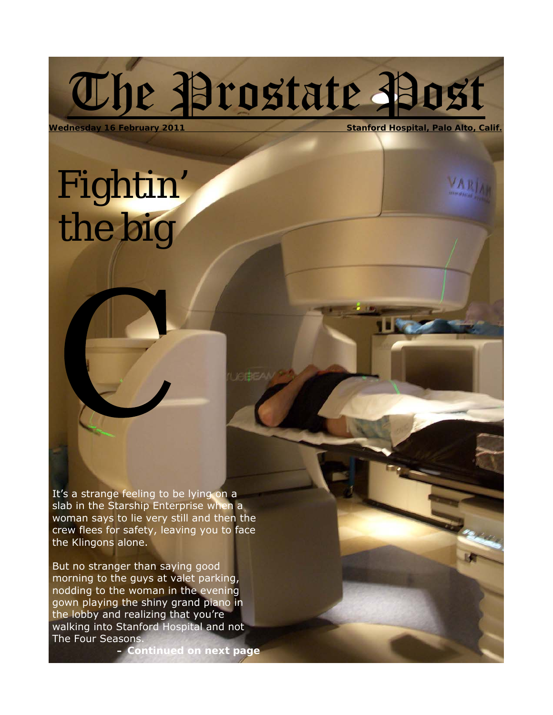# The Prostate Post

**VARI** 

**Wednesday 16 February 2011 Stanford Hospital, Palo Alto, Calif.**

## Fightin' the big

It's a strange feeling to be lying on a slab in the Starship Enterprise when a woman says to lie very still and then the crew flees for safety, leaving you to face the Klingons alone.

 But no stranger than saying good morning to the guys at valet parking, nodding to the woman in the evening gown playing the shiny grand piano in the lobby and realizing that you're walking into Stanford Hospital and not The Four Seasons.

*– Continued on next page*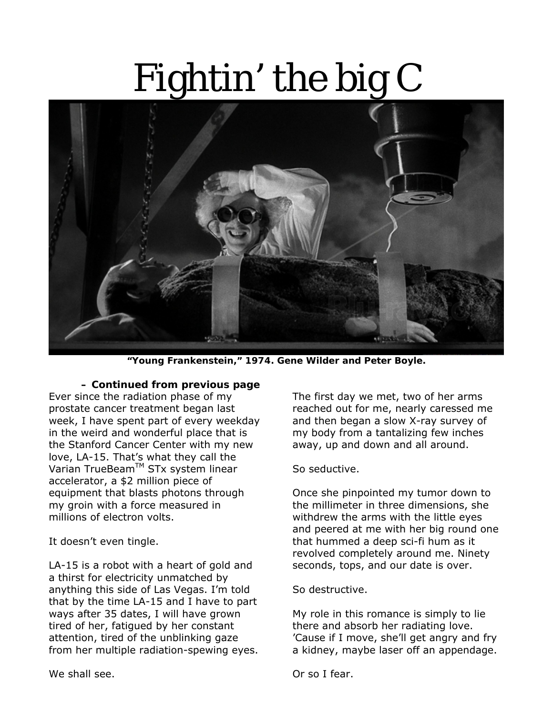# Fightin' the big C



**"Young Frankenstein," 1974. Gene Wilder and Peter Boyle.** 

#### *– Continued from previous page*

Ever since the radiation phase of my prostate cancer treatment began last week, I have spent part of every weekday in the weird and wonderful place that is the Stanford Cancer Center with my new love, LA-15. That's what they call the Varian TrueBeam™ STx system linear accelerator, a \$2 million piece of equipment that blasts photons through my groin with a force measured in millions of electron volts.

It doesn't even tingle.

LA-15 is a robot with a heart of gold and a thirst for electricity unmatched by anything this side of Las Vegas. I'm told that by the time LA-15 and I have to part ways after 35 dates, I will have grown tired of her, fatigued by her constant attention, tired of the unblinking gaze from her multiple radiation-spewing eyes.

The first day we met, two of her arms reached out for me, nearly caressed me and then began a slow X-ray survey of my body from a tantalizing few inches away, up and down and all around.

So seductive.

Once she pinpointed my tumor down to the millimeter in three dimensions, she withdrew the arms with the little eyes and peered at me with her big round one that hummed a deep sci-fi hum as it revolved completely around me. Ninety seconds, tops, and our date is over.

So destructive.

My role in this romance is simply to lie there and absorb her radiating love. 'Cause if I move, she'll get angry and fry a kidney, maybe laser off an appendage.

We shall see.

Or so I fear.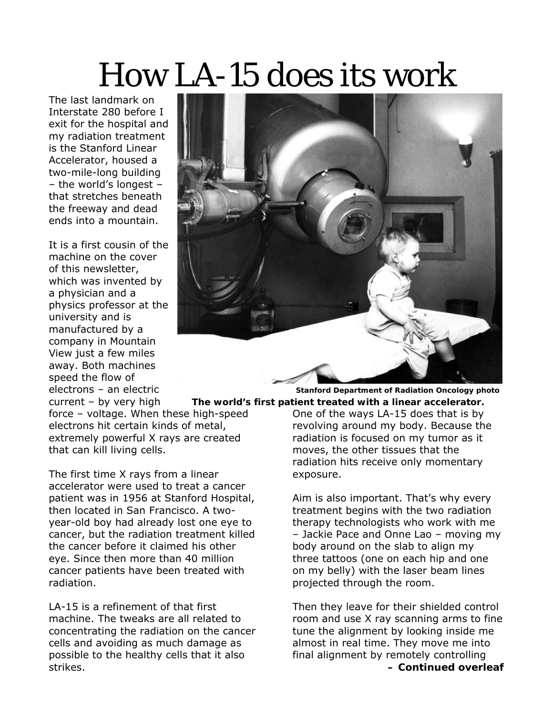### How LA-15 does its work

The last landmark on Interstate 280 before I exit for the hospital and my radiation treatment is the Stanford Linear Accelerator, housed a two-mile-long building – the world's longest – that stretches beneath the freeway and dead ends into a mountain.

It is a first cousin of the machine on the cover of this newsletter, which was invented by a physician and a physics professor at the university and is manufactured by a company in Mountain View just a few miles away. Both machines speed the flow of



electrons – an electric **Stanford Department of Radiation Oncology photo**  current – by very high The world's first patient treated with a linear accelerator. One of the ways LA-15 does that is by revolving around my body. Because the

radiation is focused on my tumor as it moves, the other tissues that the radiation hits receive only momentary exposure.

Aim is also important. That's why every treatment begins with the two radiation therapy technologists who work with me – Jackie Pace and Onne Lao – moving my body around on the slab to align my three tattoos (one on each hip and one on my belly) with the laser beam lines projected through the room.

Then they leave for their shielded control room and use X ray scanning arms to fine tune the alignment by looking inside me almost in real time. They move me into final alignment by remotely controlling *– Continued overleaf*

force – voltage. When these high-speed electrons hit certain kinds of metal, extremely powerful X rays are created that can kill living cells.

The first time X rays from a linear accelerator were used to treat a cancer patient was in 1956 at Stanford Hospital, then located in San Francisco. A twoyear-old boy had already lost one eye to cancer, but the radiation treatment killed the cancer before it claimed his other eye. Since then more than 40 million cancer patients have been treated with radiation.

LA-15 is a refinement of that first machine. The tweaks are all related to concentrating the radiation on the cancer cells and avoiding as much damage as possible to the healthy cells that it also strikes.